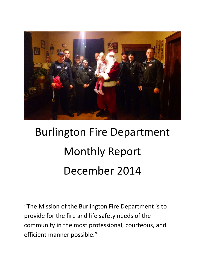

# Burlington Fire Department Monthly Report December 2014

"The Mission of the Burlington Fire Department is to provide for the fire and life safety needs of the community in the most professional, courteous, and efficient manner possible."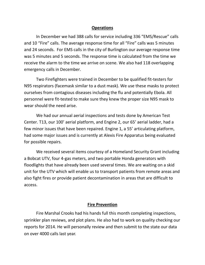#### **Operations**

In December we had 388 calls for service including 336 "EMS/Rescue" calls and 10 "Fire" calls. The average response time for all "Fire" calls was 5 minutes and 24 seconds. For EMS calls in the city of Burlington our average response time was 5 minutes and 5 seconds. The response time is calculated from the time we receive the alarm to the time we arrive on scene. We also had 118 overlapping emergency calls in December.

Two Firefighters were trained in December to be qualified fit-testers for N95 respirators (facemask similar to a dust mask). We use these masks to protect ourselves from contagious diseases including the flu and potentially Ebola. All personnel were fit-tested to make sure they knew the proper size N95 mask to wear should the need arise.

We had our annual aerial inspections and tests done by American Test Center. T13, our 100' aerial platform, and Engine 2, our 65' aerial ladder, had a few minor issues that have been repaired. Engine 1, a 55' articulating platform, had some major issues and is currently at Alexis Fire Apparatus being evaluated for possible repairs.

We received several items courtesy of a Homeland Security Grant including a Bobcat UTV, four 4-gas meters, and two portable Honda generators with floodlights that have already been used several times. We are waiting on a skid unit for the UTV which will enable us to transport patients from remote areas and also fight fires or provide patient decontamination in areas that are difficult to access.

#### **Fire Prevention**

 Fire Marshal Crooks had his hands full this month completing inspections, sprinkler plan reviews, and plot plans. He also had to work on quality checking our reports for 2014. He will personally review and then submit to the state our data on over 4000 calls last year.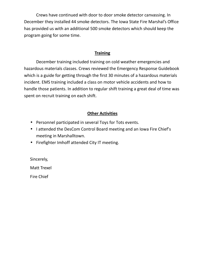Crews have continued with door to door smoke detector canvassing. In December they installed 44 smoke detectors. The Iowa State Fire Marshal's Office has provided us with an additional 500 smoke detectors which should keep the program going for some time.

#### **Training**

 December training included training on cold weather emergencies and hazardous materials classes. Crews reviewed the Emergency Response Guidebook which is a guide for getting through the first 30 minutes of a hazardous materials incident. EMS training included a class on motor vehicle accidents and how to handle those patients. In addition to regular shift training a great deal of time was spent on recruit training on each shift.

### **Other Activities**

- Personnel participated in several Toys for Tots events.
- I attended the DesCom Control Board meeting and an Iowa Fire Chief's meeting in Marshalltown.
- Firefighter Imhoff attended City IT meeting.

Sincerely,

Matt Trexel

Fire Chief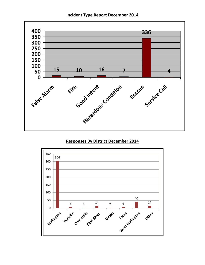**Incident Type Report December 2014** 



#### **Responses By District December 2014**